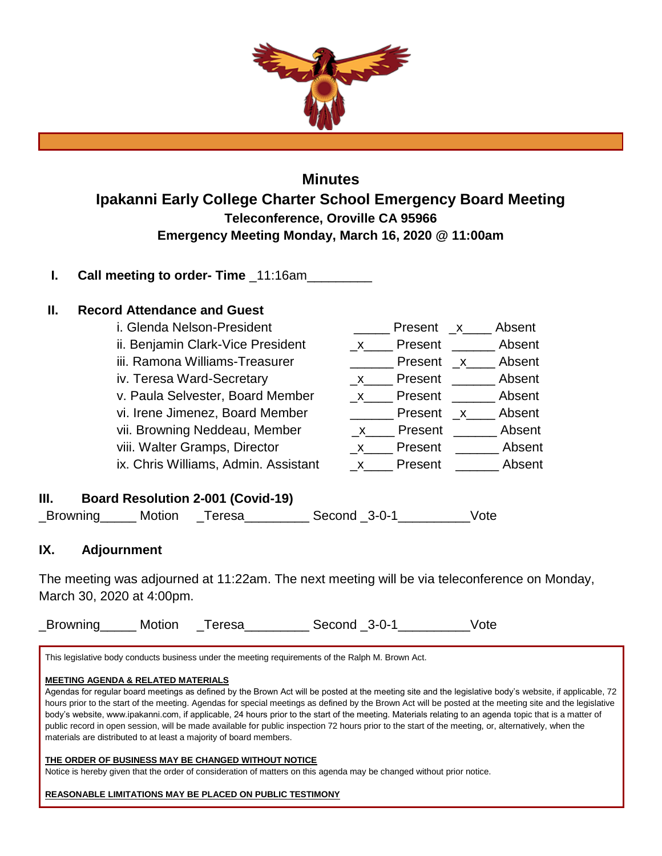

# **Minutes Ipakanni Early College Charter School Emergency Board Meeting Teleconference, Oroville CA 95966 Emergency Meeting Monday, March 16, 2020 @ 11:00am**

**I. Call meeting to order- Time** \_11:16am\_\_\_\_\_\_\_\_\_

### **II. Record Attendance and Guest**

| i. Glenda Nelson-President           | Absent<br>Present<br>$\mathsf{X}$ |
|--------------------------------------|-----------------------------------|
| ii. Benjamin Clark-Vice President    | Absent<br>Present<br>$\mathsf{X}$ |
| iii. Ramona Williams-Treasurer       | Absent<br>Present<br>$\mathbf{X}$ |
| iv. Teresa Ward-Secretary            | Absent<br>Present<br>$\mathsf{X}$ |
| v. Paula Selvester, Board Member     | Absent<br>Present<br>$\mathsf{X}$ |
| vi. Irene Jimenez, Board Member      | Absent<br>Present<br>$\mathsf{X}$ |
| vii. Browning Neddeau, Member        | Absent<br>Present<br>$\mathsf{X}$ |
| viii. Walter Gramps, Director        | Absent<br>Present                 |
| ix. Chris Williams, Admin. Assistant | Absent<br>Present                 |
|                                      |                                   |

## **III. Board Resolution 2-001 (Covid-19)**

\_Browning\_\_\_\_\_ Motion \_\_Teresa\_\_\_\_\_\_\_\_\_\_ Second \_3-0-1\_\_\_\_\_\_\_\_\_\_\_Vote

## **IX. Adjournment**

The meeting was adjourned at 11:22am. The next meeting will be via teleconference on Monday, March 30, 2020 at 4:00pm.

\_Browning\_\_\_\_\_ Motion \_Teresa\_\_\_\_\_\_\_\_ Second \_3-0-1\_\_\_\_\_\_\_\_ Vote

This legislative body conducts business under the meeting requirements of the Ralph M. Brown Act.

### **MEETING AGENDA & RELATED MATERIALS**

Agendas for regular board meetings as defined by the Brown Act will be posted at the meeting site and the legislative body's website, if applicable, 72 hours prior to the start of the meeting. Agendas for special meetings as defined by the Brown Act will be posted at the meeting site and the legislative body's website, www.ipakanni.com, if applicable, 24 hours prior to the start of the meeting. Materials relating to an agenda topic that is a matter of public record in open session, will be made available for public inspection 72 hours prior to the start of the meeting, or, alternatively, when the materials are distributed to at least a majority of board members.

### **THE ORDER OF BUSINESS MAY BE CHANGED WITHOUT NOTICE**

Notice is hereby given that the order of consideration of matters on this agenda may be changed without prior notice.

**REASONABLE LIMITATIONS MAY BE PLACED ON PUBLIC TESTIMONY**